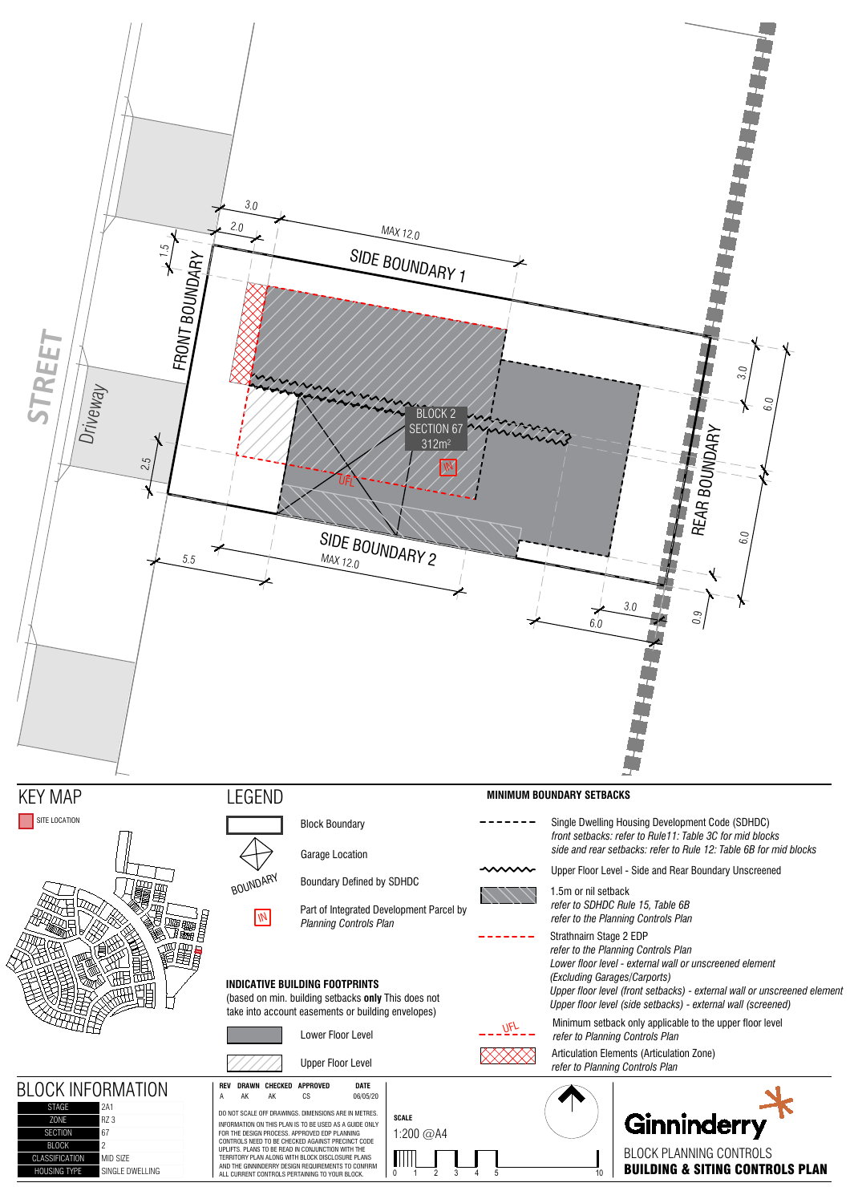